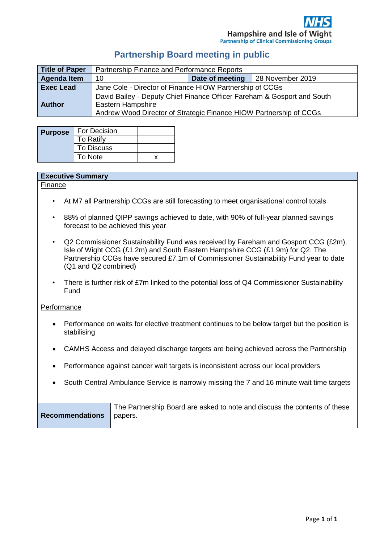#### **Partnership Board meeting in public**

| <b>Title of Paper</b> | Partnership Finance and Performance Reports                                                                                                                               |                 |                  |
|-----------------------|---------------------------------------------------------------------------------------------------------------------------------------------------------------------------|-----------------|------------------|
| <b>Agenda Item</b>    | 10                                                                                                                                                                        | Date of meeting | 28 November 2019 |
| <b>Exec Lead</b>      | Jane Cole - Director of Finance HIOW Partnership of CCGs                                                                                                                  |                 |                  |
| <b>Author</b>         | David Bailey - Deputy Chief Finance Officer Fareham & Gosport and South<br><b>Eastern Hampshire</b><br>Andrew Wood Director of Strategic Finance HIOW Partnership of CCGs |                 |                  |

| <b>Purpose</b> | For Decision      |  |
|----------------|-------------------|--|
|                | To Ratify         |  |
|                | <b>To Discuss</b> |  |
|                | To Note           |  |

#### **Executive Summary**

Finance

- At M7 all Partnership CCGs are still forecasting to meet organisational control totals
- 88% of planned QIPP savings achieved to date, with 90% of full-year planned savings forecast to be achieved this year
- Q2 Commissioner Sustainability Fund was received by Fareham and Gosport CCG (£2m), Isle of Wight CCG (£1.2m) and South Eastern Hampshire CCG (£1.9m) for Q2. The Partnership CCGs have secured £7.1m of Commissioner Sustainability Fund year to date (Q1 and Q2 combined)
- There is further risk of £7m linked to the potential loss of Q4 Commissioner Sustainability Fund

#### **Performance**

- Performance on waits for elective treatment continues to be below target but the position is stabilising
- CAMHS Access and delayed discharge targets are being achieved across the Partnership
- Performance against cancer wait targets is inconsistent across our local providers
- South Central Ambulance Service is narrowly missing the 7 and 16 minute wait time targets

| <b>Recommendations</b> papers. | The Partnership Board are asked to note and discuss the contents of these |
|--------------------------------|---------------------------------------------------------------------------|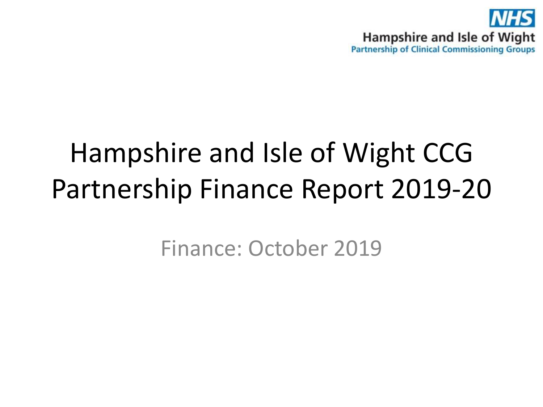

# Hampshire and Isle of Wight CCG Partnership Finance Report 2019-20

Finance: October 2019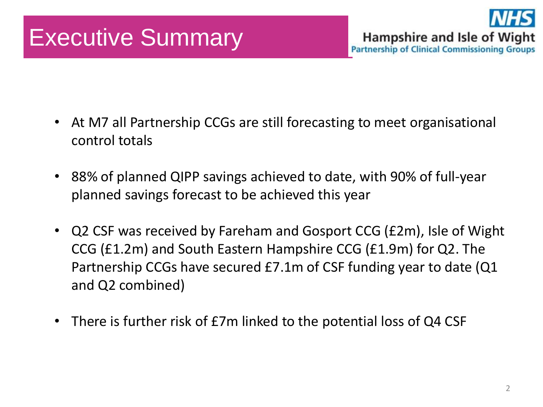## Executive Summary



- At M7 all Partnership CCGs are still forecasting to meet organisational control totals
- 88% of planned QIPP savings achieved to date, with 90% of full-year planned savings forecast to be achieved this year
- Q2 CSF was received by Fareham and Gosport CCG (£2m), Isle of Wight CCG (£1.2m) and South Eastern Hampshire CCG (£1.9m) for Q2. The Partnership CCGs have secured £7.1m of CSF funding year to date (Q1 and Q2 combined)
- There is further risk of £7m linked to the potential loss of Q4 CSF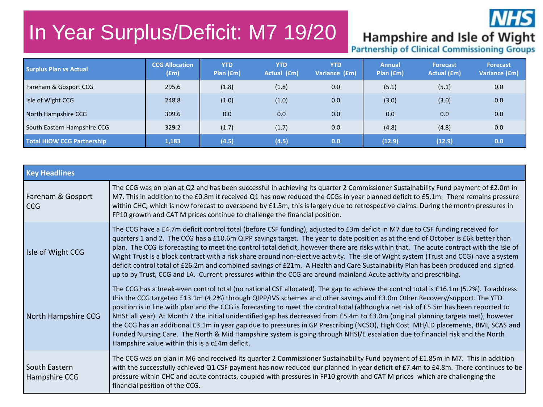### In Year Surplus/Deficit: M7 19/20



## Hampshire and Isle of Wight<br>Partnership of Clinical Commissioning Groups

| <b>Surplus Plan vs Actual</b>     | <b>CCG Allocation</b><br>(fm) | <b>YTD</b><br>Plan $(fm)$ | <b>YTD</b><br>Actual (£m) | <b>YTD</b><br>Variance (£m) | <b>Annual</b><br>Plan(fm) | <b>Forecast</b><br>Actual (£m) | <b>Forecast</b><br>Variance (£m) |
|-----------------------------------|-------------------------------|---------------------------|---------------------------|-----------------------------|---------------------------|--------------------------------|----------------------------------|
| Fareham & Gosport CCG             | 295.6                         | (1.8)                     | (1.8)                     | 0.0                         | (5.1)                     | (5.1)                          | 0.0                              |
| I Isle of Wight CCG               | 248.8                         | (1.0)                     | (1.0)                     | 0.0                         | (3.0)                     | (3.0)                          | 0.0                              |
| North Hampshire CCG               | 309.6                         | 0.0                       | 0.0                       | 0.0                         | 0.0                       | 0.0                            | 0.0                              |
| South Eastern Hampshire CCG       | 329.2                         | (1.7)                     | (1.7)                     | 0.0                         | (4.8)                     | (4.8)                          | 0.0                              |
| <b>Total HIOW CCG Partnership</b> | 1,183                         | (4.5)                     | (4.5)                     | 0.0                         | (12.9)                    | (12.9)                         | 0.0                              |

| <b>Key Headlines</b>            |                                                                                                                                                                                                                                                                                                                                                                                                                                                                                                                                                                                                                                                                                                                                                                                                                                                                        |
|---------------------------------|------------------------------------------------------------------------------------------------------------------------------------------------------------------------------------------------------------------------------------------------------------------------------------------------------------------------------------------------------------------------------------------------------------------------------------------------------------------------------------------------------------------------------------------------------------------------------------------------------------------------------------------------------------------------------------------------------------------------------------------------------------------------------------------------------------------------------------------------------------------------|
| Fareham & Gosport<br><b>CCG</b> | The CCG was on plan at Q2 and has been successful in achieving its quarter 2 Commissioner Sustainability Fund payment of £2.0m in<br>M7. This in addition to the £0.8m it received Q1 has now reduced the CCGs in year planned deficit to £5.1m. There remains pressure<br>within CHC, which is now forecast to overspend by £1.5m, this is largely due to retrospective claims. During the month pressures in<br>FP10 growth and CAT M prices continue to challenge the financial position.                                                                                                                                                                                                                                                                                                                                                                           |
| Isle of Wight CCG               | The CCG have a £4.7m deficit control total (before CSF funding), adjusted to £3m deficit in M7 due to CSF funding received for<br>quarters 1 and 2. The CCG has a £10.6m QIPP savings target. The year to date position as at the end of October is £6k better than<br>plan. The CCG is forecasting to meet the control total deficit, however there are risks within that. The acute contract with the Isle of<br>Wight Trust is a block contract with a risk share around non-elective activity. The Isle of Wight system (Trust and CCG) have a system<br>deficit control total of £26.2m and combined savings of £21m. A Health and Care Sustainability Plan has been produced and signed<br>up to by Trust, CCG and LA. Current pressures within the CCG are around mainland Acute activity and prescribing.                                                      |
| North Hampshire CCG             | The CCG has a break-even control total (no national CSF allocated). The gap to achieve the control total is £16.1m (5.2%). To address<br>this the CCG targeted £13.1m (4.2%) through QIPP/IVS schemes and other savings and £3.0m Other Recovery/support. The YTD<br>position is in line with plan and the CCG is forecasting to meet the control total (although a net risk of £5.5m has been reported to<br>NHSE all year). At Month 7 the initial unidentified gap has decreased from £5.4m to £3.0m (original planning targets met), however<br>the CCG has an additional £3.1m in year gap due to pressures in GP Prescribing (NCSO), High Cost MH/LD placements, BMI, SCAS and<br>Funded Nursing Care. The North & Mid Hampshire system is going through NHSI/E escalation due to financial risk and the North<br>Hampshire value within this is a c£4m deficit. |
| South Eastern<br>Hampshire CCG  | The CCG was on plan in M6 and received its quarter 2 Commissioner Sustainability Fund payment of £1.85m in M7. This in addition<br>with the successfully achieved Q1 CSF payment has now reduced our planned in year deficit of £7.4m to £4.8m. There continues to be<br>pressure within CHC and acute contracts, coupled with pressures in FP10 growth and CAT M prices which are challenging the<br>financial position of the CCG.                                                                                                                                                                                                                                                                                                                                                                                                                                   |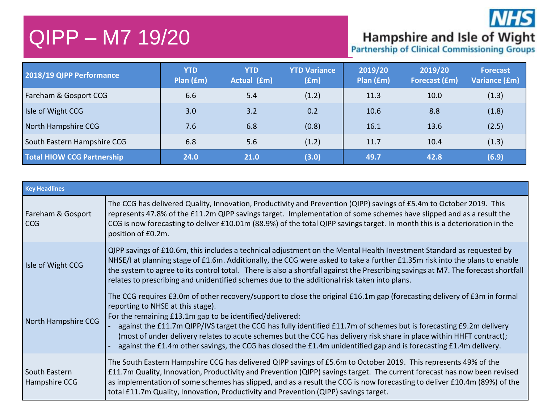### QIPP – M7 19/20

**Hampshire and Isle of Wight**<br>Partnership of Clinical Commissioning Groups

**NHS** 

| 2018/19 QIPP Performance          | <b>YTD</b><br>Plan (£m) | <b>YTD</b><br>Actual (£m) | <b>YTD Variance</b><br>$(\text{fm})$ | 2019/20<br>Plan (£m) | 2019/20<br><b>Forecast (£m)</b> | <b>Forecast</b><br>Variance (£m) |
|-----------------------------------|-------------------------|---------------------------|--------------------------------------|----------------------|---------------------------------|----------------------------------|
| Fareham & Gosport CCG             | 6.6                     | 5.4                       | (1.2)                                | 11.3                 | 10.0                            | (1.3)                            |
| Isle of Wight CCG                 | 3.0                     | 3.2                       | 0.2                                  | 10.6                 | 8.8                             | (1.8)                            |
| North Hampshire CCG               | 7.6                     | 6.8                       | (0.8)                                | 16.1                 | 13.6                            | (2.5)                            |
| South Eastern Hampshire CCG       | 6.8                     | 5.6                       | (1.2)                                | 11.7                 | 10.4                            | (1.3)                            |
| <b>Total HIOW CCG Partnership</b> | 24.0                    | 21.0                      | (3.0)                                | 49.7                 | 42.8                            | (6.9)                            |

| <b>Key Headlines</b>           |                                                                                                                                                                                                                                                                                                                                                                                                                                                                                                                                                                                               |
|--------------------------------|-----------------------------------------------------------------------------------------------------------------------------------------------------------------------------------------------------------------------------------------------------------------------------------------------------------------------------------------------------------------------------------------------------------------------------------------------------------------------------------------------------------------------------------------------------------------------------------------------|
| Fareham & Gosport<br>l CCG     | The CCG has delivered Quality, Innovation, Productivity and Prevention (QIPP) savings of £5.4m to October 2019. This<br>represents 47.8% of the £11.2m QIPP savings target. Implementation of some schemes have slipped and as a result the<br>CCG is now forecasting to deliver £10.01m (88.9%) of the total QIPP savings target. In month this is a deterioration in the<br>position of £0.2m.                                                                                                                                                                                              |
| Isle of Wight CCG              | QIPP savings of £10.6m, this includes a technical adjustment on the Mental Health Investment Standard as requested by<br>NHSE/I at planning stage of £1.6m. Additionally, the CCG were asked to take a further £1.35m risk into the plans to enable<br>the system to agree to its control total. There is also a shortfall against the Prescribing savings at M7. The forecast shortfall<br>relates to prescribing and unidentified schemes due to the additional risk taken into plans.                                                                                                      |
| North Hampshire CCG            | The CCG requires £3.0m of other recovery/support to close the original £16.1m gap (forecasting delivery of £3m in formal<br>reporting to NHSE at this stage).<br>For the remaining £13.1m gap to be identified/delivered:<br>against the £11.7m QIPP/IVS target the CCG has fully identified £11.7m of schemes but is forecasting £9.2m delivery<br>(most of under delivery relates to acute schemes but the CCG has delivery risk share in place within HHFT contract);<br>against the £1.4m other savings, the CCG has closed the £1.4m unidentified gap and is forecasting £1.4m delivery. |
| South Eastern<br>Hampshire CCG | The South Eastern Hampshire CCG has delivered QIPP savings of £5.6m to October 2019. This represents 49% of the<br>£11.7m Quality, Innovation, Productivity and Prevention (QIPP) savings target. The current forecast has now been revised<br>as implementation of some schemes has slipped, and as a result the CCG is now forecasting to deliver £10.4m (89%) of the<br>total £11.7m Quality, Innovation, Productivity and Prevention (QIPP) savings target.                                                                                                                               |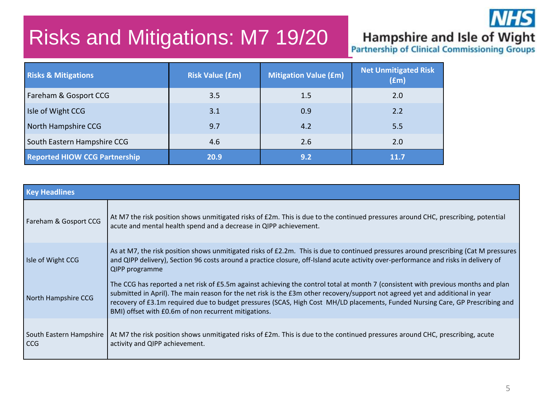### Risks and Mitigations: M7 19/20



## Hampshire and Isle of Wight<br>Partnership of Clinical Commissioning Groups

| <b>Risks &amp; Mitigations</b>       | <b>Risk Value (£m)</b> | <b>Mitigation Value (£m)</b> | <b>Net Unmitigated Risk</b><br>(fm) |
|--------------------------------------|------------------------|------------------------------|-------------------------------------|
| Fareham & Gosport CCG                | 3.5                    | 1.5                          | 2.0                                 |
| Isle of Wight CCG                    | 3.1                    | 0.9                          | 2.2                                 |
| North Hampshire CCG                  | 9.7                    | 4.2                          | 5.5                                 |
| South Eastern Hampshire CCG          | 4.6                    | 2.6                          | 2.0                                 |
| <b>Reported HIOW CCG Partnership</b> | 20.9                   | 9.2                          | 11.7                                |

| <b>Key Headlines</b>             |                                                                                                                                                                                                                                                                                                                                                                                                                                                             |
|----------------------------------|-------------------------------------------------------------------------------------------------------------------------------------------------------------------------------------------------------------------------------------------------------------------------------------------------------------------------------------------------------------------------------------------------------------------------------------------------------------|
| Fareham & Gosport CCG            | At M7 the risk position shows unmitigated risks of £2m. This is due to the continued pressures around CHC, prescribing, potential<br>acute and mental health spend and a decrease in QIPP achievement.                                                                                                                                                                                                                                                      |
| Isle of Wight CCG                | As at M7, the risk position shows unmitigated risks of £2.2m. This is due to continued pressures around prescribing (Cat M pressures<br>and QIPP delivery), Section 96 costs around a practice closure, off-Island acute activity over-performance and risks in delivery of<br>QIPP programme                                                                                                                                                               |
| North Hampshire CCG              | The CCG has reported a net risk of £5.5m against achieving the control total at month 7 (consistent with previous months and plan<br>submitted in April). The main reason for the net risk is the £3m other recovery/support not agreed yet and additional in year<br>recovery of £3.1m required due to budget pressures (SCAS, High Cost MH/LD placements, Funded Nursing Care, GP Prescribing and<br>BMI) offset with £0.6m of non recurrent mitigations. |
| South Eastern Hampshire<br>l CCG | At M7 the risk position shows unmitigated risks of £2m. This is due to the continued pressures around CHC, prescribing, acute<br>activity and QIPP achievement.                                                                                                                                                                                                                                                                                             |